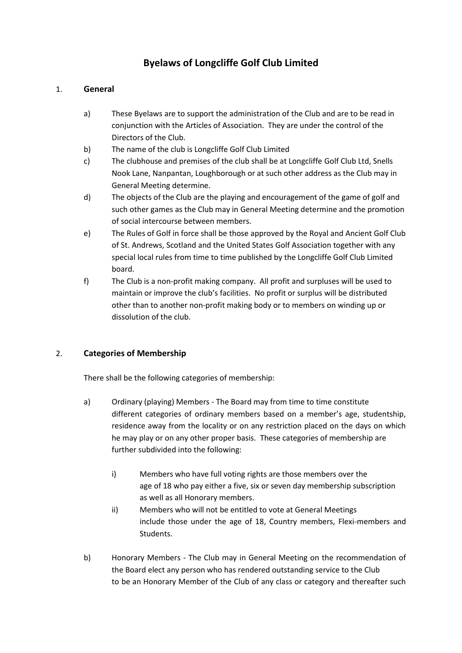# **Byelaws of Longcliffe Golf Club Limited**

# 1. **General**

- a) These Byelaws are to support the administration of the Club and are to be read in conjunction with the Articles of Association. They are under the control of the Directors of the Club.
- b) The name of the club is Longcliffe Golf Club Limited
- c) The clubhouse and premises of the club shall be at Longcliffe Golf Club Ltd, Snells Nook Lane, Nanpantan, Loughborough or at such other address as the Club may in General Meeting determine.
- d) The objects of the Club are the playing and encouragement of the game of golf and such other games as the Club may in General Meeting determine and the promotion of social intercourse between members.
- e) The Rules of Golf in force shall be those approved by the Royal and Ancient Golf Club of St. Andrews, Scotland and the United States Golf Association together with any special local rules from time to time published by the Longcliffe Golf Club Limited board.
- f) The Club is a non-profit making company. All profit and surpluses will be used to maintain or improve the club's facilities. No profit or surplus will be distributed other than to another non-profit making body or to members on winding up or dissolution of the club.

# 2. **Categories of Membership**

There shall be the following categories of membership:

- a) Ordinary (playing) Members The Board may from time to time constitute different categories of ordinary members based on a member's age, studentship, residence away from the locality or on any restriction placed on the days on which he may play or on any other proper basis. These categories of membership are further subdivided into the following:
	- i) Members who have full voting rights are those members over the age of 18 who pay either a five, six or seven day membership subscription as well as all Honorary members.
	- ii) Members who will not be entitled to vote at General Meetings include those under the age of 18, Country members, Flexi-members and Students.
- b) Honorary Members The Club may in General Meeting on the recommendation of the Board elect any person who has rendered outstanding service to the Club to be an Honorary Member of the Club of any class or category and thereafter such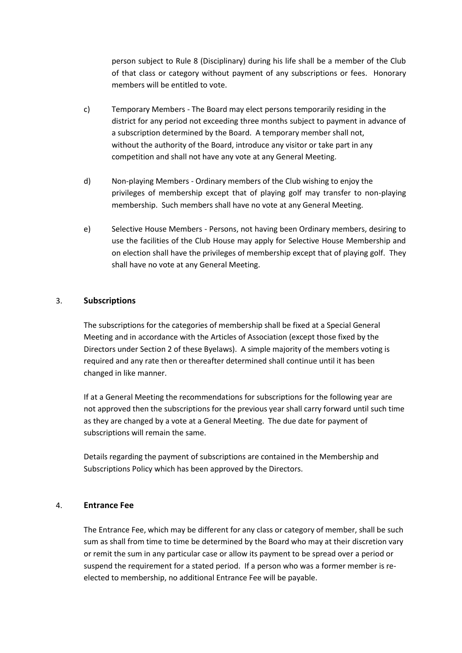person subject to Rule 8 (Disciplinary) during his life shall be a member of the Club of that class or category without payment of any subscriptions or fees. Honorary members will be entitled to vote.

- c) Temporary Members The Board may elect persons temporarily residing in the district for any period not exceeding three months subject to payment in advance of a subscription determined by the Board. A temporary member shall not, without the authority of the Board, introduce any visitor or take part in any competition and shall not have any vote at any General Meeting.
- d) Non-playing Members Ordinary members of the Club wishing to enjoy the privileges of membership except that of playing golf may transfer to non-playing membership. Such members shall have no vote at any General Meeting.
- e) Selective House Members Persons, not having been Ordinary members, desiring to use the facilities of the Club House may apply for Selective House Membership and on election shall have the privileges of membership except that of playing golf. They shall have no vote at any General Meeting.

#### 3. **Subscriptions**

The subscriptions for the categories of membership shall be fixed at a Special General Meeting and in accordance with the Articles of Association (except those fixed by the Directors under Section 2 of these Byelaws). A simple majority of the members voting is required and any rate then or thereafter determined shall continue until it has been changed in like manner.

If at a General Meeting the recommendations for subscriptions for the following year are not approved then the subscriptions for the previous year shall carry forward until such time as they are changed by a vote at a General Meeting. The due date for payment of subscriptions will remain the same.

Details regarding the payment of subscriptions are contained in the Membership and Subscriptions Policy which has been approved by the Directors.

#### 4. **Entrance Fee**

The Entrance Fee, which may be different for any class or category of member, shall be such sum as shall from time to time be determined by the Board who may at their discretion vary or remit the sum in any particular case or allow its payment to be spread over a period or suspend the requirement for a stated period. If a person who was a former member is reelected to membership, no additional Entrance Fee will be payable.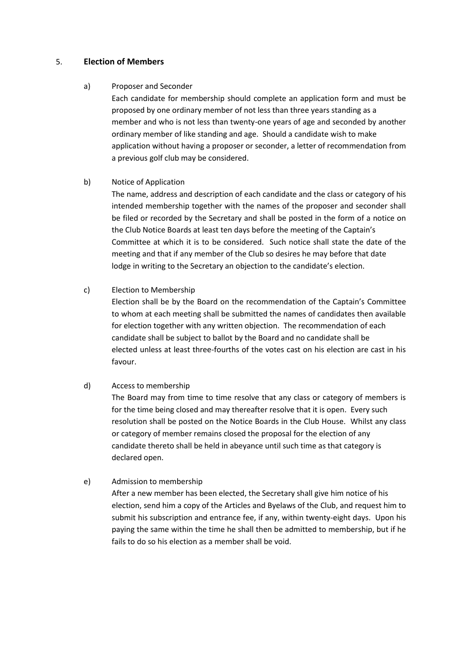### 5. **Election of Members**

#### a) Proposer and Seconder

Each candidate for membership should complete an application form and must be proposed by one ordinary member of not less than three years standing as a member and who is not less than twenty-one years of age and seconded by another ordinary member of like standing and age. Should a candidate wish to make application without having a proposer or seconder, a letter of recommendation from a previous golf club may be considered.

#### b) Notice of Application

The name, address and description of each candidate and the class or category of his intended membership together with the names of the proposer and seconder shall be filed or recorded by the Secretary and shall be posted in the form of a notice on the Club Notice Boards at least ten days before the meeting of the Captain's Committee at which it is to be considered. Such notice shall state the date of the meeting and that if any member of the Club so desires he may before that date lodge in writing to the Secretary an objection to the candidate's election.

#### c) Election to Membership

Election shall be by the Board on the recommendation of the Captain's Committee to whom at each meeting shall be submitted the names of candidates then available for election together with any written objection. The recommendation of each candidate shall be subject to ballot by the Board and no candidate shall be elected unless at least three-fourths of the votes cast on his election are cast in his favour.

# d) Access to membership

The Board may from time to time resolve that any class or category of members is for the time being closed and may thereafter resolve that it is open. Every such resolution shall be posted on the Notice Boards in the Club House. Whilst any class or category of member remains closed the proposal for the election of any candidate thereto shall be held in abeyance until such time as that category is declared open.

# e) Admission to membership

After a new member has been elected, the Secretary shall give him notice of his election, send him a copy of the Articles and Byelaws of the Club, and request him to submit his subscription and entrance fee, if any, within twenty-eight days. Upon his paying the same within the time he shall then be admitted to membership, but if he fails to do so his election as a member shall be void.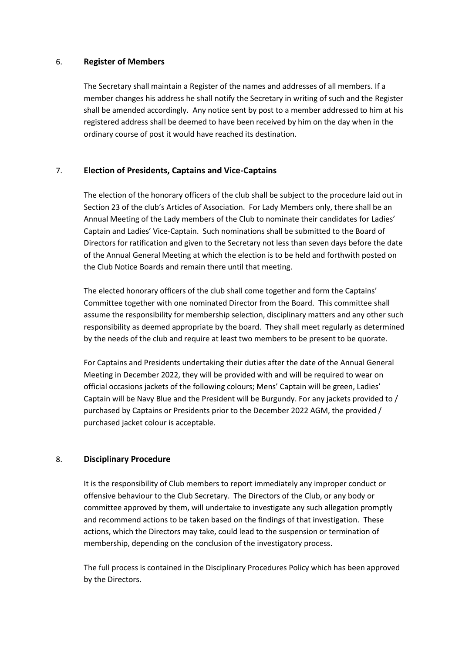#### 6. **Register of Members**

The Secretary shall maintain a Register of the names and addresses of all members. If a member changes his address he shall notify the Secretary in writing of such and the Register shall be amended accordingly. Any notice sent by post to a member addressed to him at his registered address shall be deemed to have been received by him on the day when in the ordinary course of post it would have reached its destination.

# 7. **Election of Presidents, Captains and Vice-Captains**

The election of the honorary officers of the club shall be subject to the procedure laid out in Section 23 of the club's Articles of Association. For Lady Members only, there shall be an Annual Meeting of the Lady members of the Club to nominate their candidates for Ladies' Captain and Ladies' Vice-Captain. Such nominations shall be submitted to the Board of Directors for ratification and given to the Secretary not less than seven days before the date of the Annual General Meeting at which the election is to be held and forthwith posted on the Club Notice Boards and remain there until that meeting.

The elected honorary officers of the club shall come together and form the Captains' Committee together with one nominated Director from the Board. This committee shall assume the responsibility for membership selection, disciplinary matters and any other such responsibility as deemed appropriate by the board. They shall meet regularly as determined by the needs of the club and require at least two members to be present to be quorate.

For Captains and Presidents undertaking their duties after the date of the Annual General Meeting in December 2022, they will be provided with and will be required to wear on official occasions jackets of the following colours; Mens' Captain will be green, Ladies' Captain will be Navy Blue and the President will be Burgundy. For any jackets provided to / purchased by Captains or Presidents prior to the December 2022 AGM, the provided / purchased jacket colour is acceptable.

# 8. **Disciplinary Procedure**

It is the responsibility of Club members to report immediately any improper conduct or offensive behaviour to the Club Secretary. The Directors of the Club, or any body or committee approved by them, will undertake to investigate any such allegation promptly and recommend actions to be taken based on the findings of that investigation. These actions, which the Directors may take, could lead to the suspension or termination of membership, depending on the conclusion of the investigatory process.

The full process is contained in the Disciplinary Procedures Policy which has been approved by the Directors.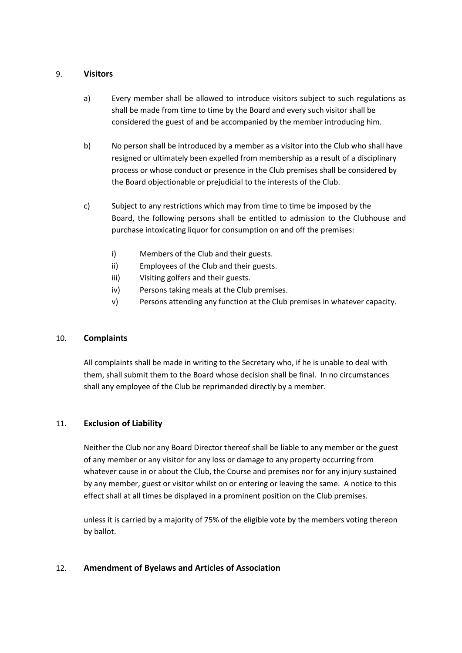### 9. **Visitors**

- a) Every member shall be allowed to introduce visitors subject to such regulations as shall be made from time to time by the Board and every such visitor shall be considered the guest of and be accompanied by the member introducing him.
- b) No person shall be introduced by a member as a visitor into the Club who shall have resigned or ultimately been expelled from membership as a result of a disciplinary process or whose conduct or presence in the Club premises shall be considered by the Board objectionable or prejudicial to the interests of the Club.
- c) Subject to any restrictions which may from time to time be imposed by the Board, the following persons shall be entitled to admission to the Clubhouse and purchase intoxicating liquor for consumption on and off the premises:
	- i) Members of the Club and their guests.
	- ii) Employees of the Club and their guests.
	- iii) Visiting golfers and their guests.
	- iv) Persons taking meals at the Club premises.
	- v) Persons attending any function at the Club premises in whatever capacity.

# 10. **Complaints**

All complaints shall be made in writing to the Secretary who, if he is unable to deal with them, shall submit them to the Board whose decision shall be final. In no circumstances shall any employee of the Club be reprimanded directly by a member.

# 11. **Exclusion of Liability**

Neither the Club nor any Board Director thereof shall be liable to any member or the guest of any member or any visitor for any loss or damage to any property occurring from whatever cause in or about the Club, the Course and premises nor for any injury sustained by any member, guest or visitor whilst on or entering or leaving the same. A notice to this effect shall at all times be displayed in a prominent position on the Club premises.

unless it is carried by a majority of 75% of the eligible vote by the members voting thereon by ballot.

# 12. **Amendment of Byelaws and Articles of Association**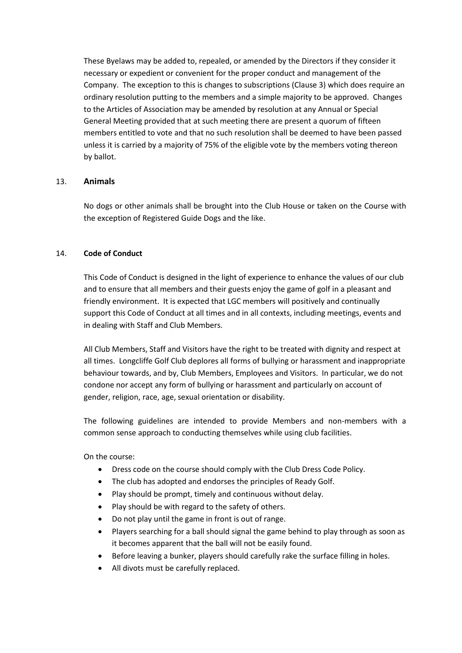These Byelaws may be added to, repealed, or amended by the Directors if they consider it necessary or expedient or convenient for the proper conduct and management of the Company. The exception to this is changes to subscriptions (Clause 3) which does require an ordinary resolution putting to the members and a simple majority to be approved. Changes to the Articles of Association may be amended by resolution at any Annual or Special General Meeting provided that at such meeting there are present a quorum of fifteen members entitled to vote and that no such resolution shall be deemed to have been passed unless it is carried by a majority of 75% of the eligible vote by the members voting thereon by ballot.

#### 13. **Animals**

No dogs or other animals shall be brought into the Club House or taken on the Course with the exception of Registered Guide Dogs and the like.

#### 14. **Code of Conduct**

This Code of Conduct is designed in the light of experience to enhance the values of our club and to ensure that all members and their guests enjoy the game of golf in a pleasant and friendly environment. It is expected that LGC members will positively and continually support this Code of Conduct at all times and in all contexts, including meetings, events and in dealing with Staff and Club Members.

All Club Members, Staff and Visitors have the right to be treated with dignity and respect at all times. Longcliffe Golf Club deplores all forms of bullying or harassment and inappropriate behaviour towards, and by, Club Members, Employees and Visitors. In particular, we do not condone nor accept any form of bullying or harassment and particularly on account of gender, religion, race, age, sexual orientation or disability.

The following guidelines are intended to provide Members and non-members with a common sense approach to conducting themselves while using club facilities.

On the course:

- Dress code on the course should comply with the Club Dress Code Policy.
- The club has adopted and endorses the principles of Ready Golf.
- Play should be prompt, timely and continuous without delay.
- Play should be with regard to the safety of others.
- Do not play until the game in front is out of range.
- Players searching for a ball should signal the game behind to play through as soon as it becomes apparent that the ball will not be easily found.
- Before leaving a bunker, players should carefully rake the surface filling in holes.
- All divots must be carefully replaced.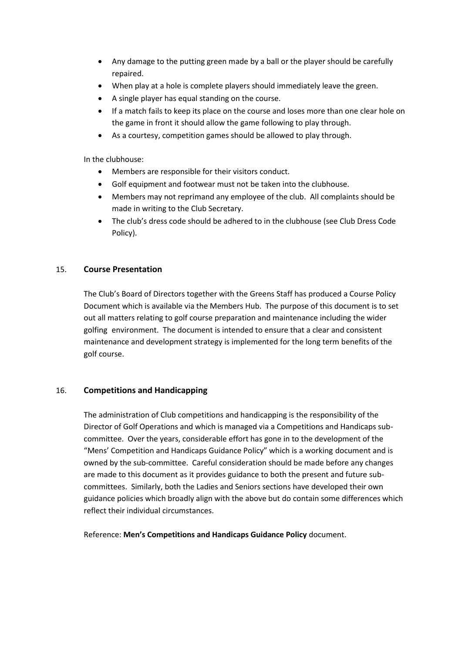- Any damage to the putting green made by a ball or the player should be carefully repaired.
- When play at a hole is complete players should immediately leave the green.
- A single player has equal standing on the course.
- If a match fails to keep its place on the course and loses more than one clear hole on the game in front it should allow the game following to play through.
- As a courtesy, competition games should be allowed to play through.

In the clubhouse:

- Members are responsible for their visitors conduct.
- Golf equipment and footwear must not be taken into the clubhouse.
- Members may not reprimand any employee of the club. All complaints should be made in writing to the Club Secretary.
- The club's dress code should be adhered to in the clubhouse (see Club Dress Code Policy).

#### 15. **Course Presentation**

The Club's Board of Directors together with the Greens Staff has produced a Course Policy Document which is available via the Members Hub. The purpose of this document is to set out all matters relating to golf course preparation and maintenance including the wider golfing environment. The document is intended to ensure that a clear and consistent maintenance and development strategy is implemented for the long term benefits of the golf course.

#### 16. **Competitions and Handicapping**

The administration of Club competitions and handicapping is the responsibility of the Director of Golf Operations and which is managed via a Competitions and Handicaps subcommittee. Over the years, considerable effort has gone in to the development of the "Mens' Competition and Handicaps Guidance Policy" which is a working document and is owned by the sub-committee. Careful consideration should be made before any changes are made to this document as it provides guidance to both the present and future subcommittees. Similarly, both the Ladies and Seniors sections have developed their own guidance policies which broadly align with the above but do contain some differences which reflect their individual circumstances.

Reference: **Men's Competitions and Handicaps Guidance Policy** document.